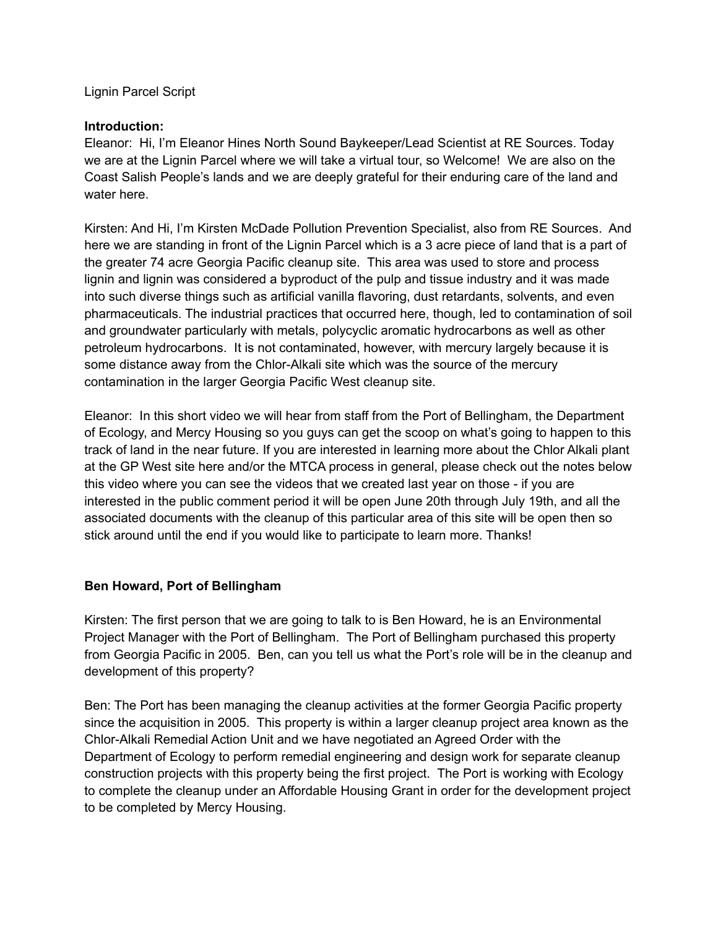Lignin Parcel Script

#### **Introduction:**

Eleanor: Hi, I'm Eleanor Hines North Sound Baykeeper/Lead Scientist at RE Sources. Today we are at the Lignin Parcel where we will take a virtual tour, so Welcome! We are also on the Coast Salish People's lands and we are deeply grateful for their enduring care of the land and water here.

Kirsten: And Hi, I'm Kirsten McDade Pollution Prevention Specialist, also from RE Sources. And here we are standing in front of the Lignin Parcel which is a 3 acre piece of land that is a part of the greater 74 acre Georgia Pacific cleanup site. This area was used to store and process lignin and lignin was considered a byproduct of the pulp and tissue industry and it was made into such diverse things such as artificial vanilla flavoring, dust retardants, solvents, and even pharmaceuticals. The industrial practices that occurred here, though, led to contamination of soil and groundwater particularly with metals, polycyclic aromatic hydrocarbons as well as other petroleum hydrocarbons. It is not contaminated, however, with mercury largely because it is some distance away from the Chlor-Alkali site which was the source of the mercury contamination in the larger Georgia Pacific West cleanup site.

Eleanor: In this short video we will hear from staff from the Port of Bellingham, the Department of Ecology, and Mercy Housing so you guys can get the scoop on what's going to happen to this track of land in the near future. If you are interested in learning more about the Chlor Alkali plant at the GP West site here and/or the MTCA process in general, please check out the notes below this video where you can see the videos that we created last year on those - if you are interested in the public comment period it will be open June 20th through July 19th, and all the associated documents with the cleanup of this particular area of this site will be open then so stick around until the end if you would like to participate to learn more. Thanks!

### **Ben Howard, Port of Bellingham**

Kirsten: The first person that we are going to talk to is Ben Howard, he is an Environmental Project Manager with the Port of Bellingham. The Port of Bellingham purchased this property from Georgia Pacific in 2005. Ben, can you tell us what the Port's role will be in the cleanup and development of this property?

Ben: The Port has been managing the cleanup activities at the former Georgia Pacific property since the acquisition in 2005. This property is within a larger cleanup project area known as the Chlor-Alkali Remedial Action Unit and we have negotiated an Agreed Order with the Department of Ecology to perform remedial engineering and design work for separate cleanup construction projects with this property being the first project. The Port is working with Ecology to complete the cleanup under an Affordable Housing Grant in order for the development project to be completed by Mercy Housing.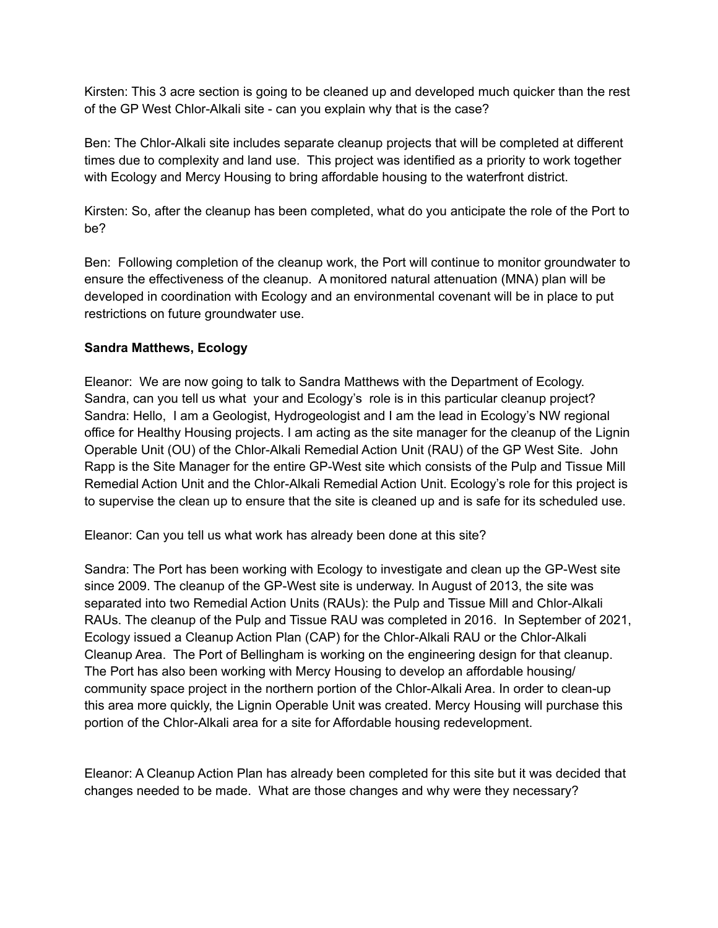Kirsten: This 3 acre section is going to be cleaned up and developed much quicker than the rest of the GP West Chlor-Alkali site - can you explain why that is the case?

Ben: The Chlor-Alkali site includes separate cleanup projects that will be completed at different times due to complexity and land use. This project was identified as a priority to work together with Ecology and Mercy Housing to bring affordable housing to the waterfront district.

Kirsten: So, after the cleanup has been completed, what do you anticipate the role of the Port to be?

Ben: Following completion of the cleanup work, the Port will continue to monitor groundwater to ensure the effectiveness of the cleanup. A monitored natural attenuation (MNA) plan will be developed in coordination with Ecology and an environmental covenant will be in place to put restrictions on future groundwater use.

### **Sandra Matthews, Ecology**

Eleanor: We are now going to talk to Sandra Matthews with the Department of Ecology. Sandra, can you tell us what your and Ecology's role is in this particular cleanup project? Sandra: Hello, I am a Geologist, Hydrogeologist and I am the lead in Ecology's NW regional office for Healthy Housing projects. I am acting as the site manager for the cleanup of the Lignin Operable Unit (OU) of the Chlor-Alkali Remedial Action Unit (RAU) of the GP West Site. John Rapp is the Site Manager for the entire GP-West site which consists of the Pulp and Tissue Mill Remedial Action Unit and the Chlor-Alkali Remedial Action Unit. Ecology's role for this project is to supervise the clean up to ensure that the site is cleaned up and is safe for its scheduled use.

Eleanor: Can you tell us what work has already been done at this site?

Sandra: The Port has been working with Ecology to investigate and clean up the GP-West site since 2009. The cleanup of the GP-West site is underway. In August of 2013, the site was separated into two Remedial Action Units (RAUs): the Pulp and Tissue Mill and Chlor-Alkali RAUs. The cleanup of the Pulp and Tissue RAU was completed in 2016. In September of 2021, Ecology issued a Cleanup Action Plan (CAP) for the Chlor-Alkali RAU or the Chlor-Alkali Cleanup Area. The Port of Bellingham is working on the engineering design for that cleanup. The Port has also been working with Mercy Housing to develop an affordable housing/ community space project in the northern portion of the Chlor-Alkali Area. In order to clean-up this area more quickly, the Lignin Operable Unit was created. Mercy Housing will purchase this portion of the Chlor-Alkali area for a site for Affordable housing redevelopment.

Eleanor: A Cleanup Action Plan has already been completed for this site but it was decided that changes needed to be made. What are those changes and why were they necessary?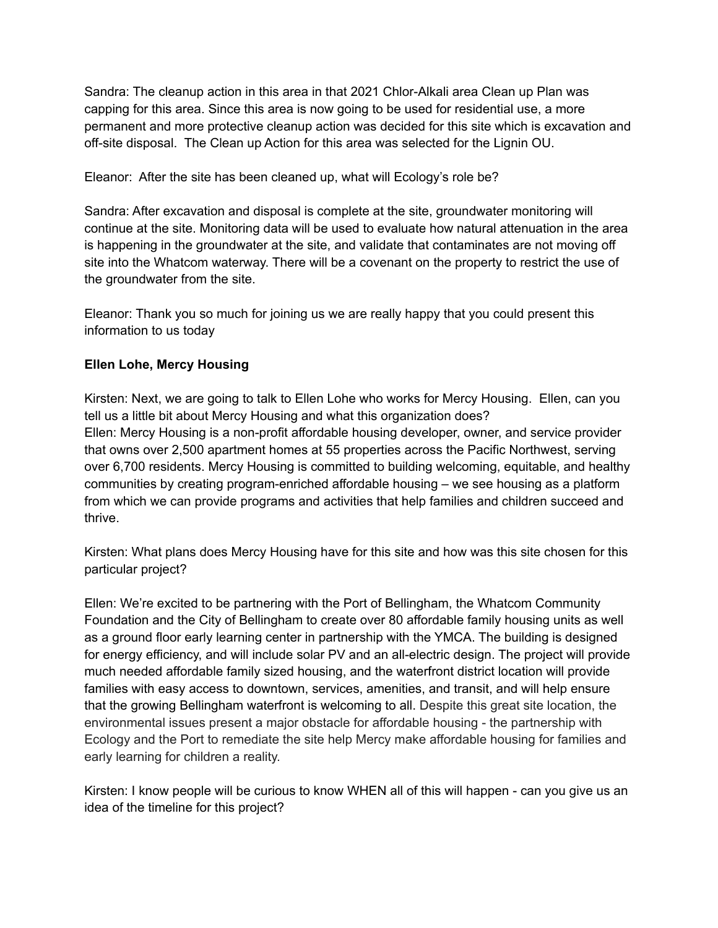Sandra: The cleanup action in this area in that 2021 Chlor-Alkali area Clean up Plan was capping for this area. Since this area is now going to be used for residential use, a more permanent and more protective cleanup action was decided for this site which is excavation and off-site disposal. The Clean up Action for this area was selected for the Lignin OU.

Eleanor: After the site has been cleaned up, what will Ecology's role be?

Sandra: After excavation and disposal is complete at the site, groundwater monitoring will continue at the site. Monitoring data will be used to evaluate how natural attenuation in the area is happening in the groundwater at the site, and validate that contaminates are not moving off site into the Whatcom waterway. There will be a covenant on the property to restrict the use of the groundwater from the site.

Eleanor: Thank you so much for joining us we are really happy that you could present this information to us today

# **Ellen Lohe, Mercy Housing**

Kirsten: Next, we are going to talk to Ellen Lohe who works for Mercy Housing. Ellen, can you tell us a little bit about Mercy Housing and what this organization does? Ellen: Mercy Housing is a non-profit affordable housing developer, owner, and service provider that owns over 2,500 apartment homes at 55 properties across the Pacific Northwest, serving over 6,700 residents. Mercy Housing is committed to building welcoming, equitable, and healthy communities by creating program-enriched affordable housing – we see housing as a platform from which we can provide programs and activities that help families and children succeed and thrive.

Kirsten: What plans does Mercy Housing have for this site and how was this site chosen for this particular project?

Ellen: We're excited to be partnering with the Port of Bellingham, the Whatcom Community Foundation and the City of Bellingham to create over 80 affordable family housing units as well as a ground floor early learning center in partnership with the YMCA. The building is designed for energy efficiency, and will include solar PV and an all-electric design. The project will provide much needed affordable family sized housing, and the waterfront district location will provide families with easy access to downtown, services, amenities, and transit, and will help ensure that the growing Bellingham waterfront is welcoming to all. Despite this great site location, the environmental issues present a major obstacle for affordable housing - the partnership with Ecology and the Port to remediate the site help Mercy make affordable housing for families and early learning for children a reality.

Kirsten: I know people will be curious to know WHEN all of this will happen - can you give us an idea of the timeline for this project?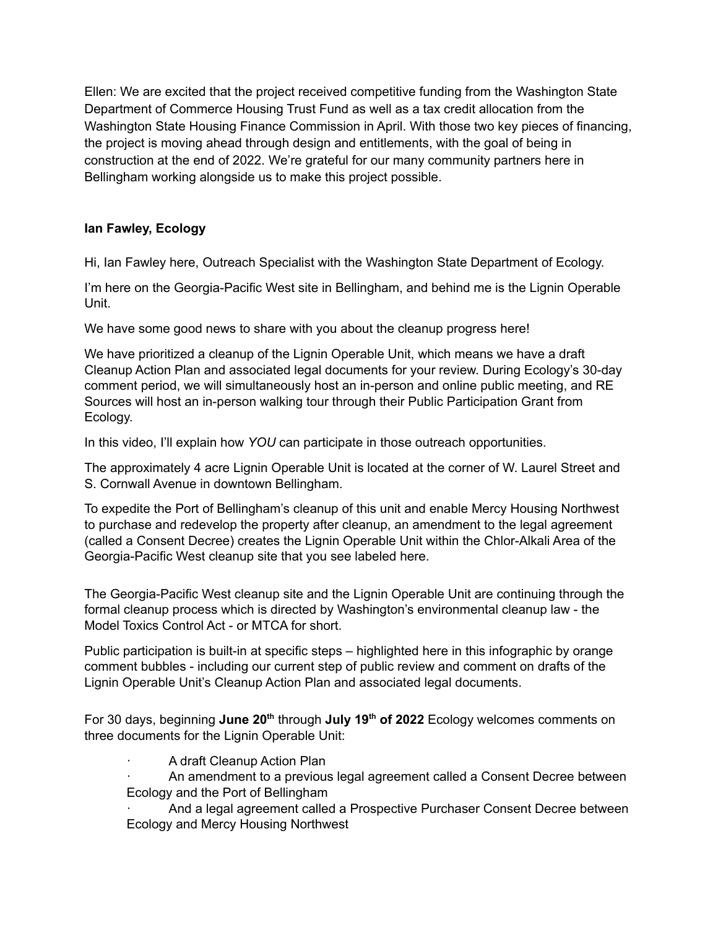Ellen: We are excited that the project received competitive funding from the Washington State Department of Commerce Housing Trust Fund as well as a tax credit allocation from the Washington State Housing Finance Commission in April. With those two key pieces of financing, the project is moving ahead through design and entitlements, with the goal of being in construction at the end of 2022. We're grateful for our many community partners here in Bellingham working alongside us to make this project possible.

# **Ian Fawley, Ecology**

Hi, Ian Fawley here, Outreach Specialist with the Washington State Department of Ecology.

I'm here on the Georgia-Pacific West site in Bellingham, and behind me is the Lignin Operable Unit.

We have some good news to share with you about the cleanup progress here!

We have prioritized a cleanup of the Lignin Operable Unit, which means we have a draft Cleanup Action Plan and associated legal documents for your review. During Ecology's 30-day comment period, we will simultaneously host an in-person and online public meeting, and RE Sources will host an in-person walking tour through their Public Participation Grant from Ecology.

In this video, I'll explain how *YOU* can participate in those outreach opportunities.

The approximately 4 acre Lignin Operable Unit is located at the corner of W. Laurel Street and S. Cornwall Avenue in downtown Bellingham.

To expedite the Port of Bellingham's cleanup of this unit and enable Mercy Housing Northwest to purchase and redevelop the property after cleanup, an amendment to the legal agreement (called a Consent Decree) creates the Lignin Operable Unit within the Chlor-Alkali Area of the Georgia-Pacific West cleanup site that you see labeled here.

The Georgia-Pacific West cleanup site and the Lignin Operable Unit are continuing through the formal cleanup process which is directed by Washington's environmental cleanup law - the Model Toxics Control Act - or MTCA for short.

Public participation is built-in at specific steps – highlighted here in this infographic by orange comment bubbles - including our current step of public review and comment on drafts of the Lignin Operable Unit's Cleanup Action Plan and associated legal documents.

For 30 days, beginning **June 20 th** through **July 19 th of 2022** Ecology welcomes comments on three documents for the Lignin Operable Unit:

A draft Cleanup Action Plan

· An amendment to a previous legal agreement called a Consent Decree between Ecology and the Port of Bellingham

And a legal agreement called a Prospective Purchaser Consent Decree between Ecology and Mercy Housing Northwest